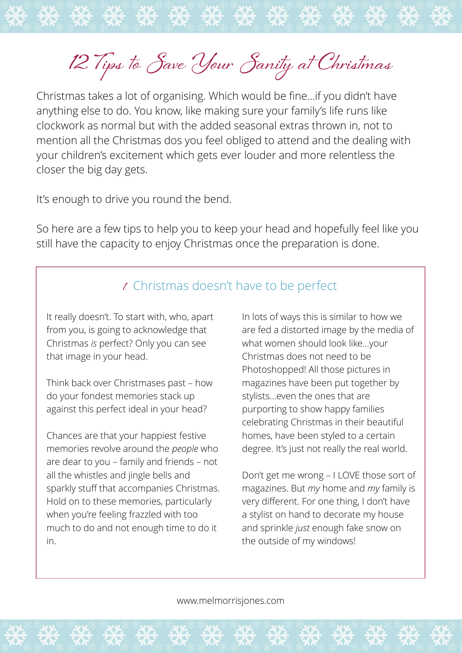**12 Tips to Save Your Sanity at Christmas**

Christmas takes a lot of organising. Which would be fine…if you didn't have anything else to do. You know, like making sure your family's life runs like clockwork as normal but with the added seasonal extras thrown in, not to mention all the Christmas dos you feel obliged to attend and the dealing with your children's excitement which gets ever louder and more relentless the closer the big day gets.

It's enough to drive you round the bend.

So here are a few tips to help you to keep your head and hopefully feel like you still have the capacity to enjoy Christmas once the preparation is done.

## **1.** Christmas doesn't have to be perfect

It really doesn't. To start with, who, apart from you, is going to acknowledge that Christmas *is* perfect? Only you can see that image in your head.

Think back over Christmases past – how do your fondest memories stack up against this perfect ideal in your head?

Chances are that your happiest festive memories revolve around the *people* who are dear to you – family and friends – not all the whistles and jingle bells and sparkly stuff that accompanies Christmas. Hold on to these memories, particularly when you're feeling frazzled with too much to do and not enough time to do it in.

In lots of ways this is similar to how we are fed a distorted image by the media of what women should look like…your Christmas does not need to be Photoshopped! All those pictures in magazines have been put together by stylists…even the ones that are purporting to show happy families celebrating Christmas in their beautiful homes, have been styled to a certain degree. It's just not really the real world.

Don't get me wrong – I LOVE those sort of magazines. But *my* home and *my* family is very different. For one thing, I don't have a stylist on hand to decorate my house and sprinkle *just* enough fake snow on the outside of my windows!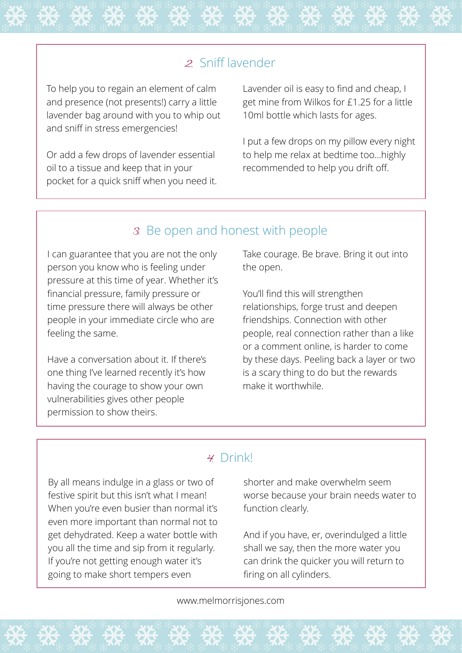### **2.** Sniff lavender

To help you to regain an element of calm and presence (not presents!) carry a little lavender bag around with you to whip out and sniff in stress emergencies!

Or add a few drops of lavender essential oil to a tissue and keep that in your pocket for a quick sniff when you need it. Lavender oil is easy to find and cheap, I get mine from Wilkos for £1.25 for a little 10ml bottle which lasts for ages.

I put a few drops on my pillow every night to help me relax at bedtime too…highly recommended to help you drift off.

#### **3.** Be open and honest with people

I can guarantee that you are not the only person you know who is feeling under pressure at this time of year. Whether it's financial pressure, family pressure or time pressure there will always be other people in your immediate circle who are feeling the same.

Have a conversation about it. If there's one thing I've learned recently it's how having the courage to show your own vulnerabilities gives other people permission to show theirs.

Take courage. Be brave. Bring it out into the open.

You'll find this will strengthen relationships, forge trust and deepen friendships. Connection with other people, real connection rather than a like or a comment online, is harder to come by these days. Peeling back a layer or two is a scary thing to do but the rewards make it worthwhile.

#### **4.** Drink!

By all means indulge in a glass or two of festive spirit but this isn't what I mean! When you're even busier than normal it's even more important than normal not to get dehydrated. Keep a water bottle with you all the time and sip from it regularly. If you're not getting enough water it's going to make short tempers even

shorter and make overwhelm seem worse because your brain needs water to function clearly.

And if you have, er, overindulged a little shall we say, then the more water you can drink the quicker you will return to firing on all cylinders.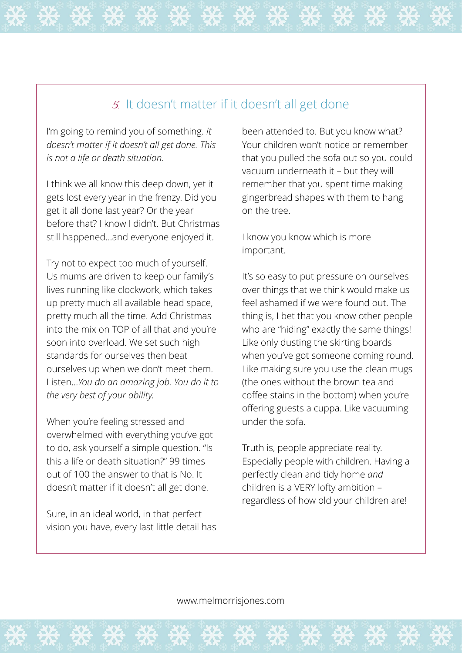## **5.** It doesn't matter if it doesn't all get done

I'm going to remind you of something. *It doesn't matter if it doesn't all get done. This is not a life or death situation.*

I think we all know this deep down, yet it gets lost every year in the frenzy. Did you get it all done last year? Or the year before that? I know I didn't. But Christmas still happened…and everyone enjoyed it.

Try not to expect too much of yourself. Us mums are driven to keep our family's lives running like clockwork, which takes up pretty much all available head space, pretty much all the time. Add Christmas into the mix on TOP of all that and you're soon into overload. We set such high standards for ourselves then beat ourselves up when we don't meet them. Listen…*You do an amazing job. You do it to the very best of your ability.*

When you're feeling stressed and overwhelmed with everything you've got to do, ask yourself a simple question. "Is this a life or death situation?" 99 times out of 100 the answer to that is No. It doesn't matter if it doesn't all get done.

Sure, in an ideal world, in that perfect vision you have, every last little detail has been attended to. But you know what? Your children won't notice or remember that you pulled the sofa out so you could vacuum underneath it – but they will remember that you spent time making gingerbread shapes with them to hang on the tree.

I know you know which is more important.

It's so easy to put pressure on ourselves over things that we think would make us feel ashamed if we were found out. The thing is, I bet that you know other people who are "hiding" exactly the same things! Like only dusting the skirting boards when you've got someone coming round. Like making sure you use the clean mugs (the ones without the brown tea and coffee stains in the bottom) when you're offering guests a cuppa. Like vacuuming under the sofa.

Truth is, people appreciate reality. Especially people with children. Having a perfectly clean and tidy home *and* children is a VERY lofty ambition – regardless of how old your children are!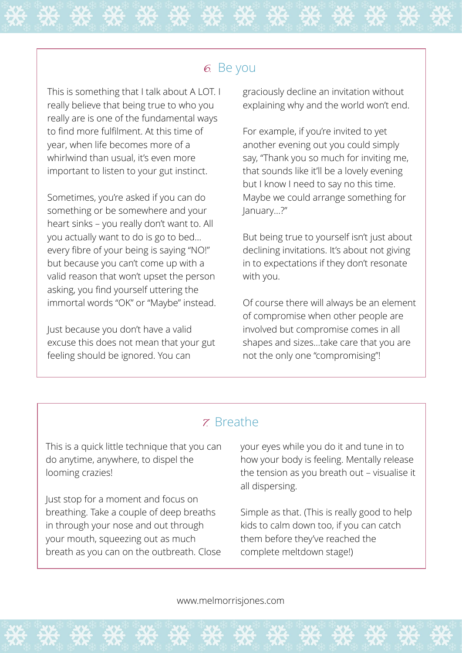#### **6.** Be you

This is something that I talk about A LOT. I really believe that being true to who you really are is one of the fundamental ways to find more fulfilment. At this time of year, when life becomes more of a whirlwind than usual, it's even more important to listen to your gut instinct.

Sometimes, you're asked if you can do something or be somewhere and your heart sinks – you really don't want to. All you actually want to do is go to bed… every fibre of your being is saying "NO!" but because you can't come up with a valid reason that won't upset the person asking, you find yourself uttering the immortal words "OK" or "Maybe" instead.

Just because you don't have a valid excuse this does not mean that your gut feeling should be ignored. You can

graciously decline an invitation without explaining why and the world won't end.

For example, if you're invited to yet another evening out you could simply say, "Thank you so much for inviting me, that sounds like it'll be a lovely evening but I know I need to say no this time. Maybe we could arrange something for January…?"

But being true to yourself isn't just about declining invitations. It's about not giving in to expectations if they don't resonate with you.

Of course there will always be an element of compromise when other people are involved but compromise comes in all shapes and sizes…take care that you are not the only one "compromising"!

### **7.** Breathe

This is a quick little technique that you can do anytime, anywhere, to dispel the looming crazies!

Just stop for a moment and focus on breathing. Take a couple of deep breaths in through your nose and out through your mouth, squeezing out as much breath as you can on the outbreath. Close your eyes while you do it and tune in to how your body is feeling. Mentally release the tension as you breath out – visualise it all dispersing.

Simple as that. (This is really good to help kids to calm down too, if you can catch them before they've reached the complete meltdown stage!)

[www.melmorrisjones.com](http://www.melmorrisjones.com)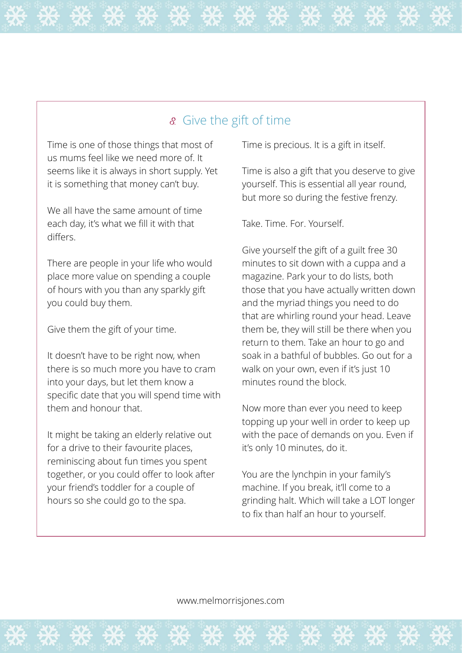## **8.** Give the gift of time

Time is one of those things that most of us mums feel like we need more of. It seems like it is always in short supply. Yet it is something that money can't buy.

We all have the same amount of time each day, it's what we fill it with that differs.

There are people in your life who would place more value on spending a couple of hours with you than any sparkly gift you could buy them.

Give them the gift of your time.

It doesn't have to be right now, when there is so much more you have to cram into your days, but let them know a specific date that you will spend time with them and honour that.

It might be taking an elderly relative out for a drive to their favourite places, reminiscing about fun times you spent together, or you could offer to look after your friend's toddler for a couple of hours so she could go to the spa.

Time is precious. It is a gift in itself.

Time is also a gift that you deserve to give yourself. This is essential all year round, but more so during the festive frenzy.

Take. Time. For. Yourself.

Give yourself the gift of a guilt free 30 minutes to sit down with a cuppa and a magazine. Park your to do lists, both those that you have actually written down and the myriad things you need to do that are whirling round your head. Leave them be, they will still be there when you return to them. Take an hour to go and soak in a bathful of bubbles. Go out for a walk on your own, even if it's just 10 minutes round the block.

Now more than ever you need to keep topping up your well in order to keep up with the pace of demands on you. Even if it's only 10 minutes, do it.

You are the lynchpin in your family's machine. If you break, it'll come to a grinding halt. Which will take a LOT longer to fix than half an hour to yourself.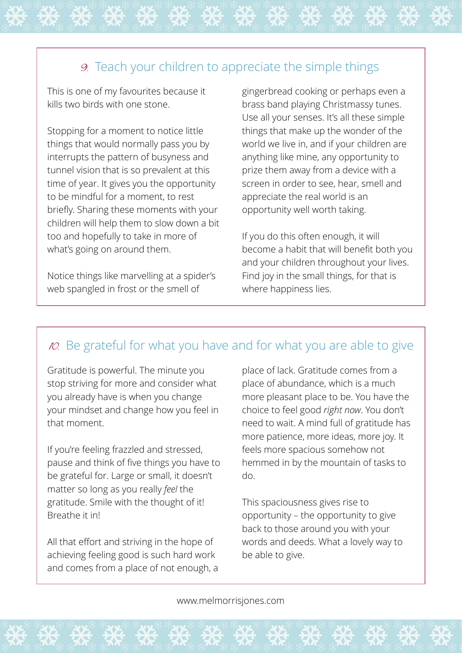# **9.** Teach your children to appreciate the simple things

This is one of my favourites because it kills two birds with one stone.

Stopping for a moment to notice little things that would normally pass you by interrupts the pattern of busyness and tunnel vision that is so prevalent at this time of year. It gives you the opportunity to be mindful for a moment, to rest briefly. Sharing these moments with your children will help them to slow down a bit too and hopefully to take in more of what's going on around them.

Notice things like marvelling at a spider's web spangled in frost or the smell of

gingerbread cooking or perhaps even a brass band playing Christmassy tunes. Use all your senses. It's all these simple things that make up the wonder of the world we live in, and if your children are anything like mine, any opportunity to prize them away from a device with a screen in order to see, hear, smell and appreciate the real world is an opportunity well worth taking.

If you do this often enough, it will become a habit that will benefit both you and your children throughout your lives. Find joy in the small things, for that is where happiness lies.

# **10.** Be grateful for what you have and for what you are able to give

Gratitude is powerful. The minute you stop striving for more and consider what you already have is when you change your mindset and change how you feel in that moment.

If you're feeling frazzled and stressed, pause and think of five things you have to be grateful for. Large or small, it doesn't matter so long as you really *feel* the gratitude. Smile with the thought of it! Breathe it in!

All that effort and striving in the hope of achieving feeling good is such hard work and comes from a place of not enough, a

place of lack. Gratitude comes from a place of abundance, which is a much more pleasant place to be. You have the choice to feel good *right now*. You don't need to wait. A mind full of gratitude has more patience, more ideas, more joy. It feels more spacious somehow not hemmed in by the mountain of tasks to do.

This spaciousness gives rise to opportunity – the opportunity to give back to those around you with your words and deeds. What a lovely way to be able to give.

[www.melmorrisjones.com](http://www.melmorrisjones.com)